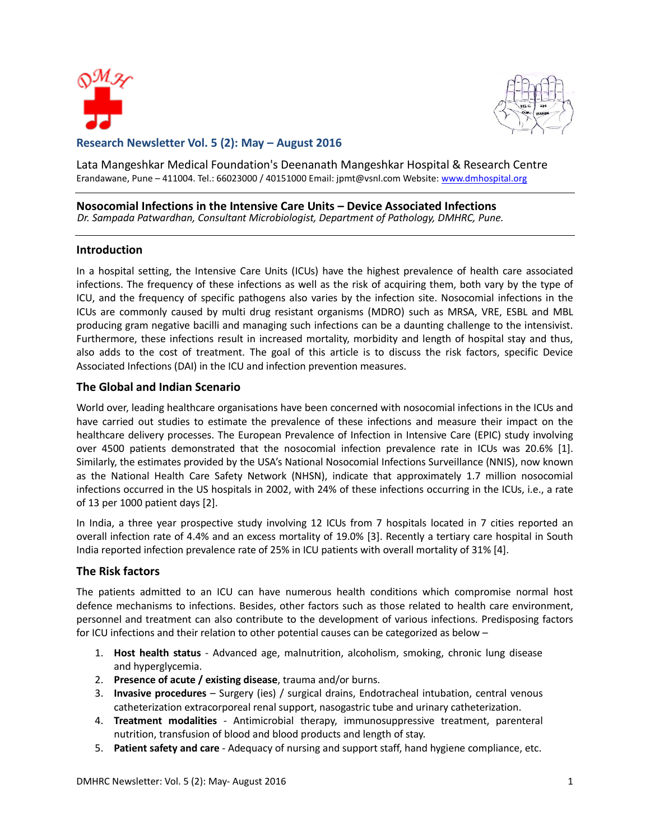



# **Research Newsletter Vol. 5 (2): May – August 2016**

Lata Mangeshkar Medical Foundation's Deenanath Mangeshkar Hospital & Research Centre Erandawane, Pune – 411004. Tel.: 66023000 / 40151000 Email: jpmt@vsnl.com Website: [www.dmhospital.org](http://www.dmhospital.org/)

# **Nosocomial Infections in the Intensive Care Units – Device Associated Infections**

*Dr. Sampada Patwardhan, Consultant Microbiologist, Department of Pathology, DMHRC, Pune.*

#### **Introduction**

In a hospital setting, the Intensive Care Units (ICUs) have the highest prevalence of health care associated infections. The frequency of these infections as well as the risk of acquiring them, both vary by the type of ICU, and the frequency of specific pathogens also varies by the infection site. Nosocomial infections in the ICUs are commonly caused by multi drug resistant organisms (MDRO) such as MRSA, VRE, ESBL and MBL producing gram negative bacilli and managing such infections can be a daunting challenge to the intensivist. Furthermore, these infections result in increased mortality, morbidity and length of hospital stay and thus, also adds to the cost of treatment. The goal of this article is to discuss the risk factors, specific Device Associated Infections (DAI) in the ICU and infection prevention measures.

# **The Global and Indian Scenario**

World over, leading healthcare organisations have been concerned with nosocomial infections in the ICUs and have carried out studies to estimate the prevalence of these infections and measure their impact on the healthcare delivery processes. The European Prevalence of Infection in Intensive Care (EPIC) study involving over 4500 patients demonstrated that the nosocomial infection prevalence rate in ICUs was 20.6% [1]. Similarly, the estimates provided by the USA's National Nosocomial Infections Surveillance (NNIS), now known as the National Health Care Safety Network (NHSN), indicate that approximately 1.7 million nosocomial infections occurred in the US hospitals in 2002, with 24% of these infections occurring in the ICUs, i.e., a rate of 13 per 1000 patient days [2].

In India, a three year prospective study involving 12 ICUs from 7 hospitals located in 7 cities reported an overall infection rate of 4.4% and an excess mortality of 19.0% [3]. Recently a tertiary care hospital in South India reported infection prevalence rate of 25% in ICU patients with overall mortality of 31% [4].

# **The Risk factors**

The patients admitted to an ICU can have numerous health conditions which compromise normal host defence mechanisms to infections. Besides, other factors such as those related to health care environment, personnel and treatment can also contribute to the development of various infections. Predisposing factors for ICU infections and their relation to other potential causes can be categorized as below –

- 1. **Host health status**  Advanced age, malnutrition, alcoholism, smoking, chronic lung disease and hyperglycemia.
- 2. **Presence of acute / existing disease**, trauma and/or burns.
- 3. **Invasive procedures** Surgery (ies) / surgical drains, Endotracheal intubation, central venous catheterization extracorporeal renal support, nasogastric tube and urinary catheterization.
- 4. **Treatment modalities** Antimicrobial therapy, immunosuppressive treatment, parenteral nutrition, transfusion of blood and blood products and length of stay.
- 5. **Patient safety and care** Adequacy of nursing and support staff, hand hygiene compliance, etc.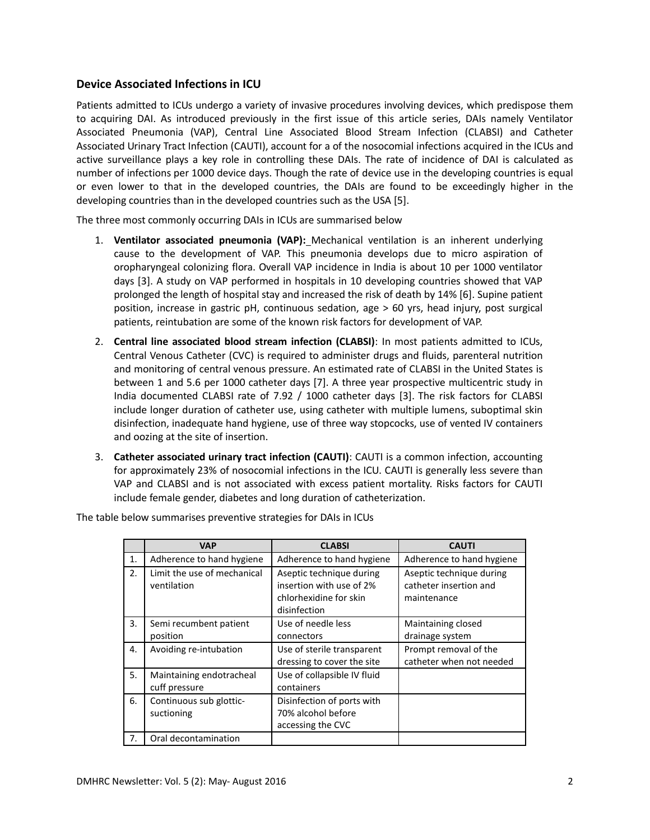# **Device Associated Infections in ICU**

Patients admitted to ICUs undergo a variety of invasive procedures involving devices, which predispose them to acquiring DAI. As introduced previously in the first issue of this article series, DAIs namely Ventilator Associated Pneumonia (VAP), Central Line Associated Blood Stream Infection (CLABSI) and Catheter Associated Urinary Tract Infection (CAUTI), account for a of the nosocomial infections acquired in the ICUs and active surveillance plays a key role in controlling these DAIs. The rate of incidence of DAI is calculated as number of infections per 1000 device days. Though the rate of device use in the developing countries is equal or even lower to that in the developed countries, the DAIs are found to be exceedingly higher in the developing countries than in the developed countries such as the USA [5].

The three most commonly occurring DAIs in ICUs are summarised below

- 1. **Ventilator associated pneumonia (VAP):** Mechanical ventilation is an inherent underlying cause to the development of VAP. This pneumonia develops due to micro aspiration of oropharyngeal colonizing flora. Overall VAP incidence in India is about 10 per 1000 ventilator days [3]. A study on VAP performed in hospitals in 10 developing countries showed that VAP prolonged the length of hospital stay and increased the risk of death by 14% [6]. Supine patient position, increase in gastric pH, continuous sedation, age > 60 yrs, head injury, post surgical patients, reintubation are some of the known risk factors for development of VAP.
- 2. **Central line associated blood stream infection (CLABSI)**: In most patients admitted to ICUs, Central Venous Catheter (CVC) is required to administer drugs and fluids, parenteral nutrition and monitoring of central venous pressure. An estimated rate of CLABSI in the United States is between 1 and 5.6 per 1000 catheter days [7]. A three year prospective multicentric study in India documented CLABSI rate of 7.92 / 1000 catheter days [3]. The risk factors for CLABSI include longer duration of catheter use, using catheter with multiple lumens, suboptimal skin disinfection, inadequate hand hygiene, use of three way stopcocks, use of vented IV containers and oozing at the site of insertion.
- 3. **Catheter associated urinary tract infection (CAUTI)**: CAUTI is a common infection, accounting for approximately 23% of nosocomial infections in the ICU. CAUTI is generally less severe than VAP and CLABSI and is not associated with excess patient mortality. Risks factors for CAUTI include female gender, diabetes and long duration of catheterization.

|    | <b>VAP</b>                                 | <b>CLABSI</b>                                                                                  | <b>CAUTI</b>                                                      |
|----|--------------------------------------------|------------------------------------------------------------------------------------------------|-------------------------------------------------------------------|
| 1. | Adherence to hand hygiene                  | Adherence to hand hygiene                                                                      | Adherence to hand hygiene                                         |
| 2. | Limit the use of mechanical<br>ventilation | Aseptic technique during<br>insertion with use of 2%<br>chlorhexidine for skin<br>disinfection | Aseptic technique during<br>catheter insertion and<br>maintenance |
| 3. | Semi recumbent patient<br>position         | Use of needle less<br>connectors                                                               | Maintaining closed<br>drainage system                             |
| 4. | Avoiding re-intubation                     | Use of sterile transparent<br>dressing to cover the site                                       | Prompt removal of the<br>catheter when not needed                 |
| 5. | Maintaining endotracheal<br>cuff pressure  | Use of collapsible IV fluid<br>containers                                                      |                                                                   |
| 6. | Continuous sub glottic-<br>suctioning      | Disinfection of ports with<br>70% alcohol before<br>accessing the CVC                          |                                                                   |
| 7. | Oral decontamination                       |                                                                                                |                                                                   |

The table below summarises preventive strategies for DAIs in ICUs